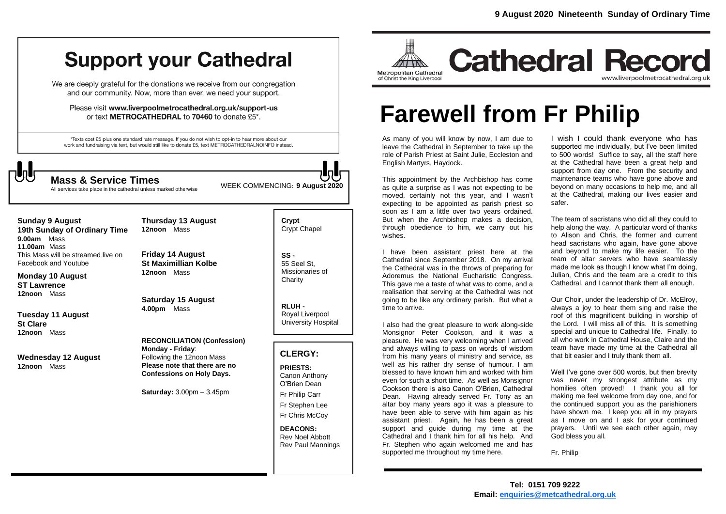# **Support your Cathedral**

We are deeply grateful for the donations we receive from our congregation and our community. Now, more than ever, we need your support.

Please visit www.liverpoolmetrocathedral.org.uk/support-us or text METROCATHEDRAL to 70460 to donate £5\*.

\*Texts cost £5 plus one standard rate message. If you do not wish to opt-in to hear more about our work and fundraising via text, but would still like to donate £5, text METROCATHEDRALNOINFO instead.



WEEK COMMENCING: **<sup>9</sup> August <sup>2020</sup> Mass & Service Times**

All services take place in the cathedral unless marked otherwise

**Sunday 9 August 19th Sunday of Ordinary Time 9.00am** Mass **11.00am** Mass This Mass will be streamed live on Facebook and Youtube

**Monday 10 August ST Lawrence 12noon** Mass

**Tuesday 11 August St Clare 12noon** Mass

**Wednesday 12 August 12noon** Mass

**Thursday 13 August 12noon** Mass

**Friday 14 August St Maximillian Kolbe 12noon** Mass

**Saturday 15 August 4.00pm** Mass

**RECONCILIATION (Confession) Monday - Friday**: Following the 12noon Mass **Please note that there are no Confessions on Holy Days.**

**Saturday:** 3.00pm – 3.45pm

**Crypt**  Crypt Chapel

**SS -** 55 Seel St, Missionaries of **Charity** 

**RLUH -** Royal Liverpool University Hospital

# **CLERGY:**

**PRIESTS:** Canon Anthony O'Brien *Dean*

Fr Philip Carr Fr Stephen Lee

Fr Chris McCoy

**DEACONS:** Rev Noel Abbott Rev Paul Mannings



**Cathedral Record** www.liverpoolmetrocathedral.org.uk

# **Farewell from Fr Philip**

As many of you will know by now, I am due to leave the Cathedral in September to take up the role of Parish Priest at Saint Julie, Eccleston and English Martyrs, Haydock.

This appointment by the Archbishop has come as quite a surprise as I was not expecting to be moved, certainly not this year, and I wasn't expecting to be appointed as parish priest so soon as I am a little over two years ordained. But when the Archbishop makes a decision, through obedience to him, we carry out his wishes.

I have been assistant priest here at the Cathedral since September 2018. On my arrival the Cathedral was in the throws of preparing for *Adoremus* the National Eucharistic Congress. This gave me a taste of what was to come, and a realisation that serving at the Cathedral was not going to be like any ordinary parish. But what a time to arrive.

I also had the great pleasure to work along-side Monsignor Peter Cookson, and it was a pleasure. He was very welcoming when I arrived and always willing to pass on words of wisdom from his many years of ministry and service, as well as his rather dry sense of humour. I am blessed to have known him and worked with him even for such a short time. As well as Monsignor Cookson there is also Canon O'Brien, Cathedral Dean. Having already served Fr. Tony as an altar boy many years ago it was a pleasure to have been able to serve with him again as his assistant priest. Again, he has been a great support and guide during my time at the Cathedral and I thank him for all his help. And Fr. Stephen who again welcomed me and has supported me throughout my time here.

I wish I could thank everyone who has supported me individually, but I've been limited to 500 words! Suffice to say, all the staff here at the Cathedral have been a great help and support from day one. From the security and maintenance teams who have gone above and beyond on many occasions to help me, and all at the Cathedral, making our lives easier and safer.

The team of sacristans who did all they could to help along the way. A particular word of thanks to Alison and Chris, the former and current head sacristans who again, have gone above and beyond to make my life easier. To the team of altar servers who have seamlessly made me look as though I know what I'm doing, Julian, Chris and the team are a credit to this Cathedral, and I cannot thank them all enough.

Our Choir, under the leadership of Dr. McElroy, always a joy to hear them sing and raise the roof of this magnificent building in worship of the Lord. I will miss all of this. It is something special and unique to Cathedral life. Finally, to all who work in Cathedral House, Claire and the team have made my time at the Cathedral all that bit easier and I truly thank them all.

Well I've gone over 500 words, but then brevity was never my strongest attribute as my homilies often proved! I thank you all for making me feel welcome from day one, and for the continued support you as the parishioners have shown me. I keep you all in my prayers as I move on and I ask for your continued prayers. Until we see each other again, may God bless you all.

Fr. Philip